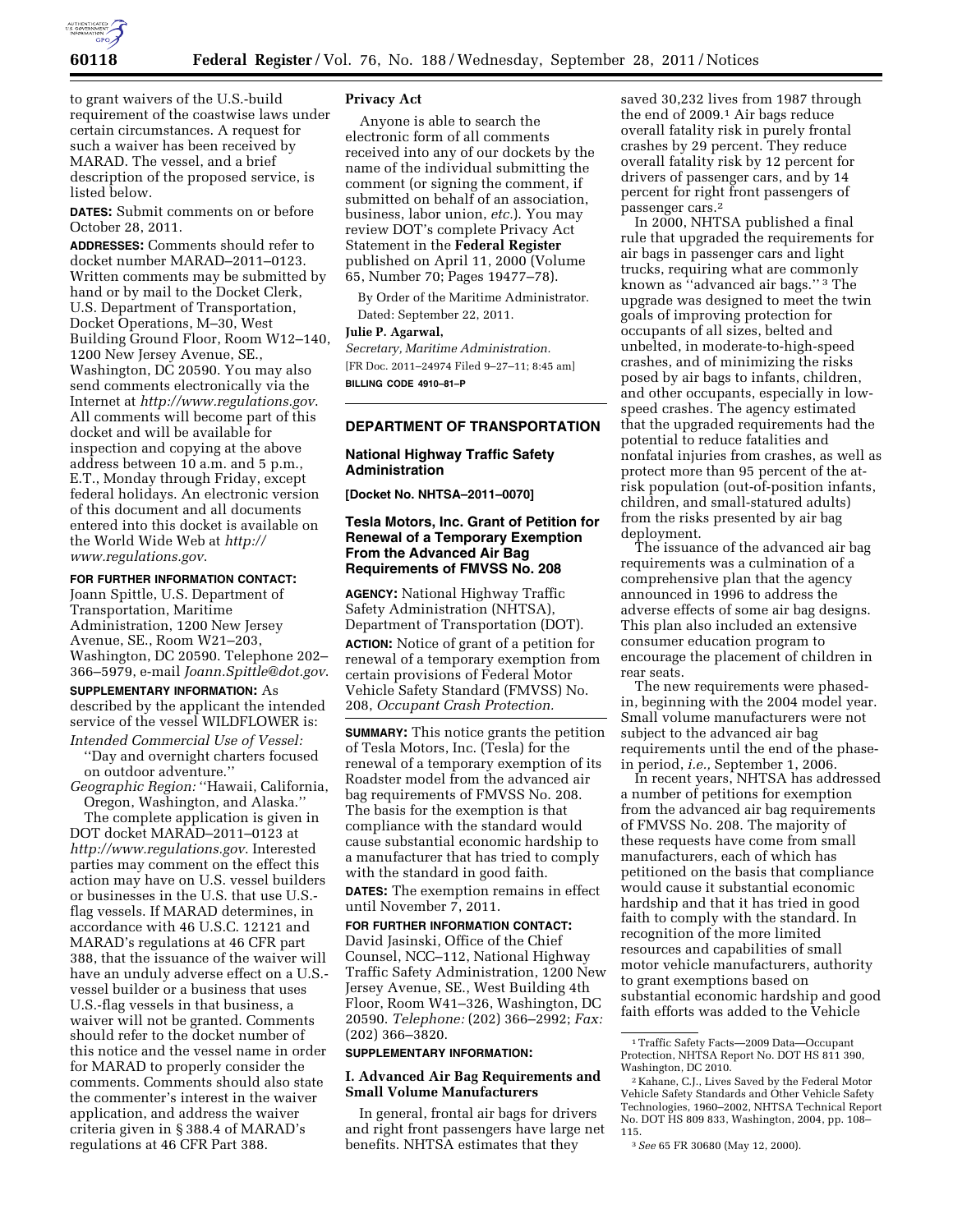

to grant waivers of the U.S.-build requirement of the coastwise laws under certain circumstances. A request for such a waiver has been received by MARAD. The vessel, and a brief description of the proposed service, is listed below.

**DATES:** Submit comments on or before October 28, 2011.

**ADDRESSES:** Comments should refer to docket number MARAD–2011–0123. Written comments may be submitted by hand or by mail to the Docket Clerk, U.S. Department of Transportation, Docket Operations, M–30, West Building Ground Floor, Room W12–140, 1200 New Jersey Avenue, SE., Washington, DC 20590. You may also send comments electronically via the Internet at *<http://www.regulations.gov>*. All comments will become part of this docket and will be available for inspection and copying at the above address between 10 a.m. and 5 p.m., E.T., Monday through Friday, except federal holidays. An electronic version of this document and all documents entered into this docket is available on the World Wide Web at *[http://](http://www.regulations.gov)  [www.regulations.gov](http://www.regulations.gov)*.

### **FOR FURTHER INFORMATION CONTACT:**

Joann Spittle, U.S. Department of Transportation, Maritime Administration, 1200 New Jersey Avenue, SE., Room W21–203, Washington, DC 20590. Telephone 202– 366–5979, e-mail *[Joann.Spittle@dot.gov](mailto:Joann.Spittle@dot.gov)*.

#### **SUPPLEMENTARY INFORMATION:** As

described by the applicant the intended service of the vessel WILDFLOWER is: *Intended Commercial Use of Vessel:* 

''Day and overnight charters focused on outdoor adventure.''

*Geographic Region:* ''Hawaii, California, Oregon, Washington, and Alaska.''

The complete application is given in DOT docket MARAD–2011–0123 at *<http://www.regulations.gov>*. Interested parties may comment on the effect this action may have on U.S. vessel builders or businesses in the U.S. that use U.S. flag vessels. If MARAD determines, in accordance with 46 U.S.C. 12121 and MARAD's regulations at 46 CFR part 388, that the issuance of the waiver will have an unduly adverse effect on a U.S. vessel builder or a business that uses U.S.-flag vessels in that business, a waiver will not be granted. Comments should refer to the docket number of this notice and the vessel name in order for MARAD to properly consider the comments. Comments should also state the commenter's interest in the waiver application, and address the waiver criteria given in § 388.4 of MARAD's regulations at 46 CFR Part 388.

#### **Privacy Act**

Anyone is able to search the electronic form of all comments received into any of our dockets by the name of the individual submitting the comment (or signing the comment, if submitted on behalf of an association, business, labor union, *etc.*). You may review DOT's complete Privacy Act Statement in the **Federal Register**  published on April 11, 2000 (Volume 65, Number 70; Pages 19477–78).

By Order of the Maritime Administrator. Dated: September 22, 2011.

# **Julie P. Agarwal,**

*Secretary, Maritime Administration.*  [FR Doc. 2011–24974 Filed 9–27–11; 8:45 am] **BILLING CODE 4910–81–P** 

# **DEPARTMENT OF TRANSPORTATION**

### **National Highway Traffic Safety Administration**

**[Docket No. NHTSA–2011–0070]** 

# **Tesla Motors, Inc. Grant of Petition for Renewal of a Temporary Exemption From the Advanced Air Bag Requirements of FMVSS No. 208**

**AGENCY:** National Highway Traffic Safety Administration (NHTSA), Department of Transportation (DOT). **ACTION:** Notice of grant of a petition for renewal of a temporary exemption from certain provisions of Federal Motor Vehicle Safety Standard (FMVSS) No. 208, *Occupant Crash Protection.* 

**SUMMARY:** This notice grants the petition of Tesla Motors, Inc. (Tesla) for the renewal of a temporary exemption of its Roadster model from the advanced air bag requirements of FMVSS No. 208. The basis for the exemption is that compliance with the standard would cause substantial economic hardship to a manufacturer that has tried to comply with the standard in good faith.

**DATES:** The exemption remains in effect until November 7, 2011.

# **FOR FURTHER INFORMATION CONTACT:**

David Jasinski, Office of the Chief Counsel, NCC–112, National Highway Traffic Safety Administration, 1200 New Jersey Avenue, SE., West Building 4th Floor, Room W41–326, Washington, DC 20590. *Telephone:* (202) 366–2992; *Fax:*  (202) 366–3820.

#### **SUPPLEMENTARY INFORMATION:**

#### **I. Advanced Air Bag Requirements and Small Volume Manufacturers**

In general, frontal air bags for drivers and right front passengers have large net benefits. NHTSA estimates that they

saved 30,232 lives from 1987 through the end of 2009.1 Air bags reduce overall fatality risk in purely frontal crashes by 29 percent. They reduce overall fatality risk by 12 percent for drivers of passenger cars, and by 14 percent for right front passengers of passenger cars.2

In 2000, NHTSA published a final rule that upgraded the requirements for air bags in passenger cars and light trucks, requiring what are commonly known as ''advanced air bags.'' 3 The upgrade was designed to meet the twin goals of improving protection for occupants of all sizes, belted and unbelted, in moderate-to-high-speed crashes, and of minimizing the risks posed by air bags to infants, children, and other occupants, especially in lowspeed crashes. The agency estimated that the upgraded requirements had the potential to reduce fatalities and nonfatal injuries from crashes, as well as protect more than 95 percent of the atrisk population (out-of-position infants, children, and small-statured adults) from the risks presented by air bag deployment.

The issuance of the advanced air bag requirements was a culmination of a comprehensive plan that the agency announced in 1996 to address the adverse effects of some air bag designs. This plan also included an extensive consumer education program to encourage the placement of children in rear seats.

The new requirements were phasedin, beginning with the 2004 model year. Small volume manufacturers were not subject to the advanced air bag requirements until the end of the phasein period, *i.e.,* September 1, 2006.

In recent years, NHTSA has addressed a number of petitions for exemption from the advanced air bag requirements of FMVSS No. 208. The majority of these requests have come from small manufacturers, each of which has petitioned on the basis that compliance would cause it substantial economic hardship and that it has tried in good faith to comply with the standard. In recognition of the more limited resources and capabilities of small motor vehicle manufacturers, authority to grant exemptions based on substantial economic hardship and good faith efforts was added to the Vehicle

<sup>1</sup>Traffic Safety Facts—2009 Data—Occupant Protection, NHTSA Report No. DOT HS 811 390, Washington, DC 2010.

<sup>2</sup> Kahane, C.J., Lives Saved by the Federal Motor Vehicle Safety Standards and Other Vehicle Safety Technologies, 1960–2002, NHTSA Technical Report No. DOT HS 809 833, Washington, 2004, pp. 108– 115.

<sup>3</sup>*See* 65 FR 30680 (May 12, 2000).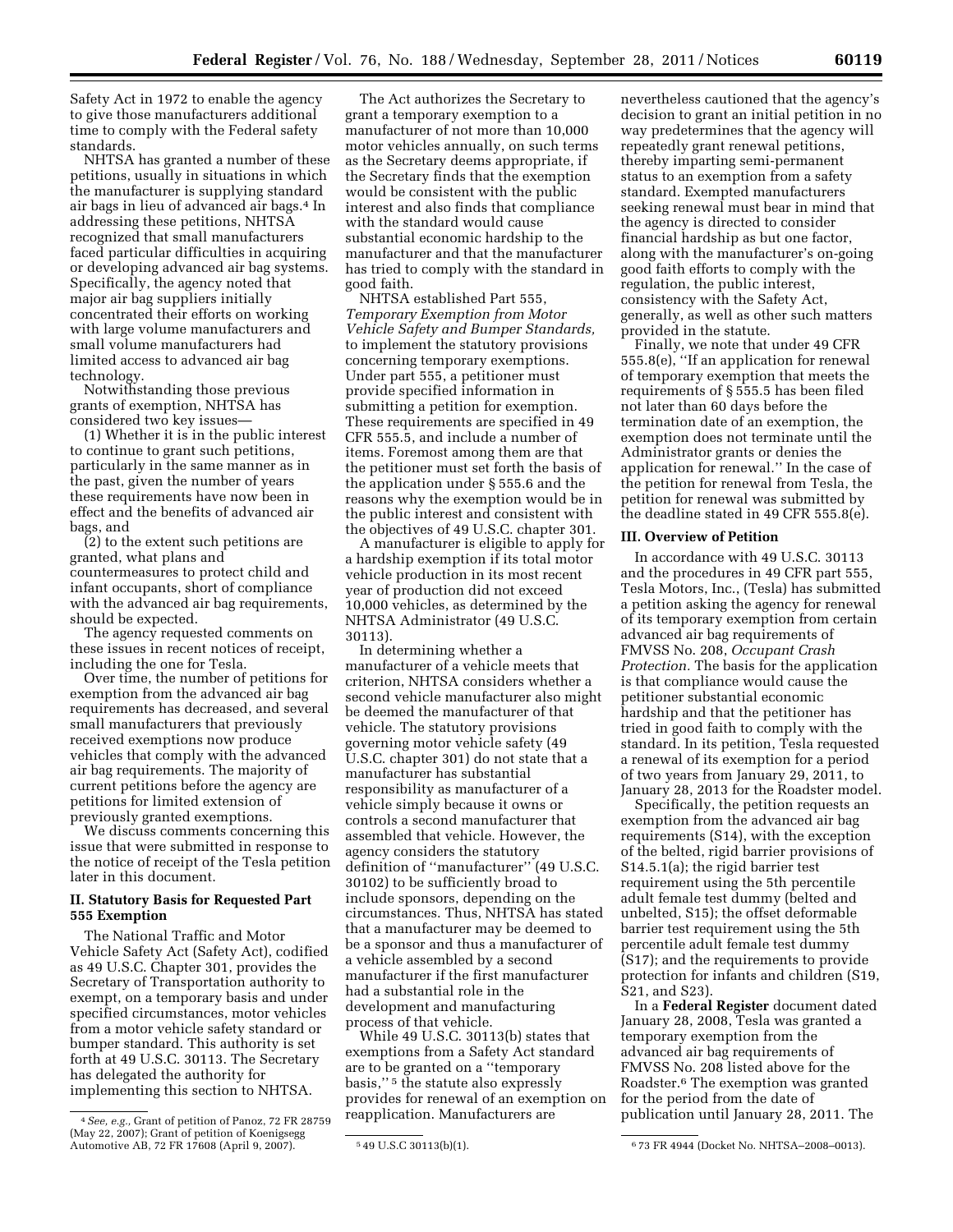Safety Act in 1972 to enable the agency to give those manufacturers additional

time to comply with the Federal safety standards. NHTSA has granted a number of these petitions, usually in situations in which the manufacturer is supplying standard air bags in lieu of advanced air bags.4 In addressing these petitions, NHTSA recognized that small manufacturers faced particular difficulties in acquiring or developing advanced air bag systems. Specifically, the agency noted that major air bag suppliers initially concentrated their efforts on working with large volume manufacturers and small volume manufacturers had limited access to advanced air bag

technology. Notwithstanding those previous grants of exemption, NHTSA has considered two key issues—

(1) Whether it is in the public interest to continue to grant such petitions, particularly in the same manner as in the past, given the number of years these requirements have now been in effect and the benefits of advanced air bags, and

(2) to the extent such petitions are granted, what plans and countermeasures to protect child and infant occupants, short of compliance with the advanced air bag requirements, should be expected.

The agency requested comments on these issues in recent notices of receipt, including the one for Tesla.

Over time, the number of petitions for exemption from the advanced air bag requirements has decreased, and several small manufacturers that previously received exemptions now produce vehicles that comply with the advanced air bag requirements. The majority of current petitions before the agency are petitions for limited extension of previously granted exemptions.

We discuss comments concerning this issue that were submitted in response to the notice of receipt of the Tesla petition later in this document.

## **II. Statutory Basis for Requested Part 555 Exemption**

The National Traffic and Motor Vehicle Safety Act (Safety Act), codified as 49 U.S.C. Chapter 301, provides the Secretary of Transportation authority to exempt, on a temporary basis and under specified circumstances, motor vehicles from a motor vehicle safety standard or bumper standard. This authority is set forth at 49 U.S.C. 30113. The Secretary has delegated the authority for implementing this section to NHTSA.

The Act authorizes the Secretary to grant a temporary exemption to a manufacturer of not more than 10,000 motor vehicles annually, on such terms as the Secretary deems appropriate, if the Secretary finds that the exemption would be consistent with the public interest and also finds that compliance with the standard would cause substantial economic hardship to the manufacturer and that the manufacturer has tried to comply with the standard in good faith.

NHTSA established Part 555, *Temporary Exemption from Motor Vehicle Safety and Bumper Standards,*  to implement the statutory provisions concerning temporary exemptions. Under part 555, a petitioner must provide specified information in submitting a petition for exemption. These requirements are specified in 49 CFR 555.5, and include a number of items. Foremost among them are that the petitioner must set forth the basis of the application under § 555.6 and the reasons why the exemption would be in the public interest and consistent with the objectives of 49 U.S.C. chapter 301.

A manufacturer is eligible to apply for a hardship exemption if its total motor vehicle production in its most recent year of production did not exceed 10,000 vehicles, as determined by the NHTSA Administrator (49 U.S.C. 30113).

In determining whether a manufacturer of a vehicle meets that criterion, NHTSA considers whether a second vehicle manufacturer also might be deemed the manufacturer of that vehicle. The statutory provisions governing motor vehicle safety (49 U.S.C. chapter 301) do not state that a manufacturer has substantial responsibility as manufacturer of a vehicle simply because it owns or controls a second manufacturer that assembled that vehicle. However, the agency considers the statutory definition of ''manufacturer'' (49 U.S.C. 30102) to be sufficiently broad to include sponsors, depending on the circumstances. Thus, NHTSA has stated that a manufacturer may be deemed to be a sponsor and thus a manufacturer of a vehicle assembled by a second manufacturer if the first manufacturer had a substantial role in the development and manufacturing process of that vehicle.

While 49 U.S.C. 30113(b) states that exemptions from a Safety Act standard are to be granted on a ''temporary basis,'' 5 the statute also expressly provides for renewal of an exemption on reapplication. Manufacturers are

nevertheless cautioned that the agency's decision to grant an initial petition in no way predetermines that the agency will repeatedly grant renewal petitions, thereby imparting semi-permanent status to an exemption from a safety standard. Exempted manufacturers seeking renewal must bear in mind that the agency is directed to consider financial hardship as but one factor, along with the manufacturer's on-going good faith efforts to comply with the regulation, the public interest, consistency with the Safety Act, generally, as well as other such matters provided in the statute.

Finally, we note that under 49 CFR 555.8(e), ''If an application for renewal of temporary exemption that meets the requirements of § 555.5 has been filed not later than 60 days before the termination date of an exemption, the exemption does not terminate until the Administrator grants or denies the application for renewal.'' In the case of the petition for renewal from Tesla, the petition for renewal was submitted by the deadline stated in 49 CFR 555.8(e).

# **III. Overview of Petition**

In accordance with 49 U.S.C. 30113 and the procedures in 49 CFR part 555, Tesla Motors, Inc., (Tesla) has submitted a petition asking the agency for renewal of its temporary exemption from certain advanced air bag requirements of FMVSS No. 208, *Occupant Crash Protection.* The basis for the application is that compliance would cause the petitioner substantial economic hardship and that the petitioner has tried in good faith to comply with the standard. In its petition, Tesla requested a renewal of its exemption for a period of two years from January 29, 2011, to January 28, 2013 for the Roadster model.

Specifically, the petition requests an exemption from the advanced air bag requirements (S14), with the exception of the belted, rigid barrier provisions of S14.5.1(a); the rigid barrier test requirement using the 5th percentile adult female test dummy (belted and unbelted, S15); the offset deformable barrier test requirement using the 5th percentile adult female test dummy (S17); and the requirements to provide protection for infants and children (S19, S21, and S23).

In a **Federal Register** document dated January 28, 2008, Tesla was granted a temporary exemption from the advanced air bag requirements of FMVSS No. 208 listed above for the Roadster.6 The exemption was granted for the period from the date of publication until January 28, 2011. The

<sup>4</sup>*See, e.g.,* Grant of petition of Panoz, 72 FR 28759 (May 22, 2007); Grant of petition of Koenigsegg Automotive AB, 72 FR 17608 (April 9, 2007). 5 49 U.S.C 30113(b)(1). 673 FR 4944 (Docket No. NHTSA–2008–0013).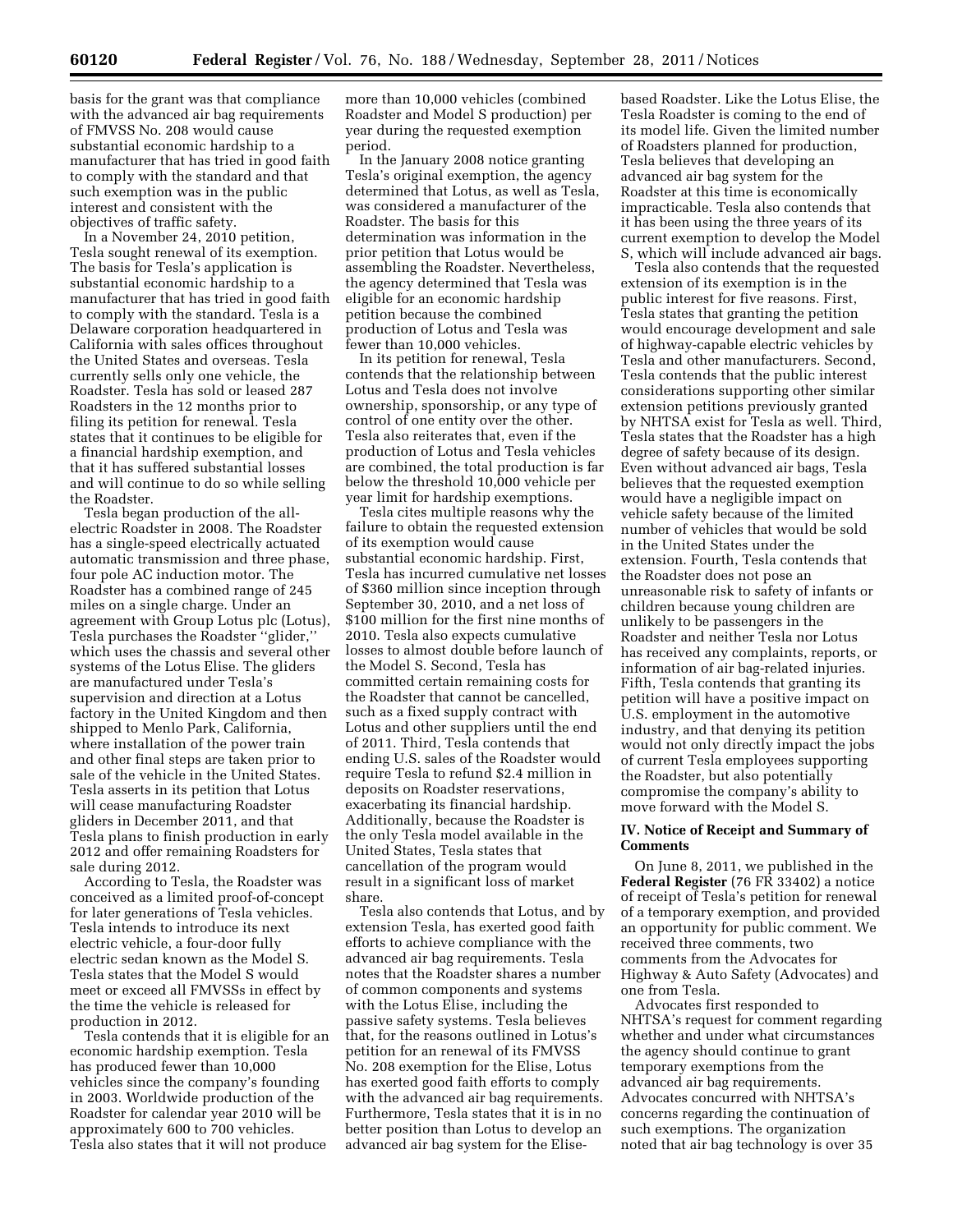basis for the grant was that compliance with the advanced air bag requirements of FMVSS No. 208 would cause substantial economic hardship to a manufacturer that has tried in good faith to comply with the standard and that such exemption was in the public interest and consistent with the objectives of traffic safety.

In a November 24, 2010 petition, Tesla sought renewal of its exemption. The basis for Tesla's application is substantial economic hardship to a manufacturer that has tried in good faith to comply with the standard. Tesla is a Delaware corporation headquartered in California with sales offices throughout the United States and overseas. Tesla currently sells only one vehicle, the Roadster. Tesla has sold or leased 287 Roadsters in the 12 months prior to filing its petition for renewal. Tesla states that it continues to be eligible for a financial hardship exemption, and that it has suffered substantial losses and will continue to do so while selling the Roadster.

Tesla began production of the allelectric Roadster in 2008. The Roadster has a single-speed electrically actuated automatic transmission and three phase, four pole AC induction motor. The Roadster has a combined range of 245 miles on a single charge. Under an agreement with Group Lotus plc (Lotus), Tesla purchases the Roadster ''glider,'' which uses the chassis and several other systems of the Lotus Elise. The gliders are manufactured under Tesla's supervision and direction at a Lotus factory in the United Kingdom and then shipped to Menlo Park, California, where installation of the power train and other final steps are taken prior to sale of the vehicle in the United States. Tesla asserts in its petition that Lotus will cease manufacturing Roadster gliders in December 2011, and that Tesla plans to finish production in early 2012 and offer remaining Roadsters for sale during 2012.

According to Tesla, the Roadster was conceived as a limited proof-of-concept for later generations of Tesla vehicles. Tesla intends to introduce its next electric vehicle, a four-door fully electric sedan known as the Model S. Tesla states that the Model S would meet or exceed all FMVSSs in effect by the time the vehicle is released for production in 2012.

Tesla contends that it is eligible for an economic hardship exemption. Tesla has produced fewer than 10,000 vehicles since the company's founding in 2003. Worldwide production of the Roadster for calendar year 2010 will be approximately 600 to 700 vehicles. Tesla also states that it will not produce

more than 10,000 vehicles (combined Roadster and Model S production) per year during the requested exemption period.

In the January 2008 notice granting Tesla's original exemption, the agency determined that Lotus, as well as Tesla, was considered a manufacturer of the Roadster. The basis for this determination was information in the prior petition that Lotus would be assembling the Roadster. Nevertheless, the agency determined that Tesla was eligible for an economic hardship petition because the combined production of Lotus and Tesla was fewer than 10,000 vehicles.

In its petition for renewal, Tesla contends that the relationship between Lotus and Tesla does not involve ownership, sponsorship, or any type of control of one entity over the other. Tesla also reiterates that, even if the production of Lotus and Tesla vehicles are combined, the total production is far below the threshold 10,000 vehicle per year limit for hardship exemptions.

Tesla cites multiple reasons why the failure to obtain the requested extension of its exemption would cause substantial economic hardship. First, Tesla has incurred cumulative net losses of \$360 million since inception through September 30, 2010, and a net loss of \$100 million for the first nine months of 2010. Tesla also expects cumulative losses to almost double before launch of the Model S. Second, Tesla has committed certain remaining costs for the Roadster that cannot be cancelled, such as a fixed supply contract with Lotus and other suppliers until the end of 2011. Third, Tesla contends that ending U.S. sales of the Roadster would require Tesla to refund \$2.4 million in deposits on Roadster reservations, exacerbating its financial hardship. Additionally, because the Roadster is the only Tesla model available in the United States, Tesla states that cancellation of the program would result in a significant loss of market share.

Tesla also contends that Lotus, and by extension Tesla, has exerted good faith efforts to achieve compliance with the advanced air bag requirements. Tesla notes that the Roadster shares a number of common components and systems with the Lotus Elise, including the passive safety systems. Tesla believes that, for the reasons outlined in Lotus's petition for an renewal of its FMVSS No. 208 exemption for the Elise, Lotus has exerted good faith efforts to comply with the advanced air bag requirements. Furthermore, Tesla states that it is in no better position than Lotus to develop an advanced air bag system for the Elisebased Roadster. Like the Lotus Elise, the Tesla Roadster is coming to the end of its model life. Given the limited number of Roadsters planned for production, Tesla believes that developing an advanced air bag system for the Roadster at this time is economically impracticable. Tesla also contends that it has been using the three years of its current exemption to develop the Model S, which will include advanced air bags.

Tesla also contends that the requested extension of its exemption is in the public interest for five reasons. First, Tesla states that granting the petition would encourage development and sale of highway-capable electric vehicles by Tesla and other manufacturers. Second, Tesla contends that the public interest considerations supporting other similar extension petitions previously granted by NHTSA exist for Tesla as well. Third, Tesla states that the Roadster has a high degree of safety because of its design. Even without advanced air bags, Tesla believes that the requested exemption would have a negligible impact on vehicle safety because of the limited number of vehicles that would be sold in the United States under the extension. Fourth, Tesla contends that the Roadster does not pose an unreasonable risk to safety of infants or children because young children are unlikely to be passengers in the Roadster and neither Tesla nor Lotus has received any complaints, reports, or information of air bag-related injuries. Fifth, Tesla contends that granting its petition will have a positive impact on U.S. employment in the automotive industry, and that denying its petition would not only directly impact the jobs of current Tesla employees supporting the Roadster, but also potentially compromise the company's ability to move forward with the Model S.

## **IV. Notice of Receipt and Summary of Comments**

On June 8, 2011, we published in the **Federal Register** (76 FR 33402) a notice of receipt of Tesla's petition for renewal of a temporary exemption, and provided an opportunity for public comment. We received three comments, two comments from the Advocates for Highway & Auto Safety (Advocates) and one from Tesla.

Advocates first responded to NHTSA's request for comment regarding whether and under what circumstances the agency should continue to grant temporary exemptions from the advanced air bag requirements. Advocates concurred with NHTSA's concerns regarding the continuation of such exemptions. The organization noted that air bag technology is over 35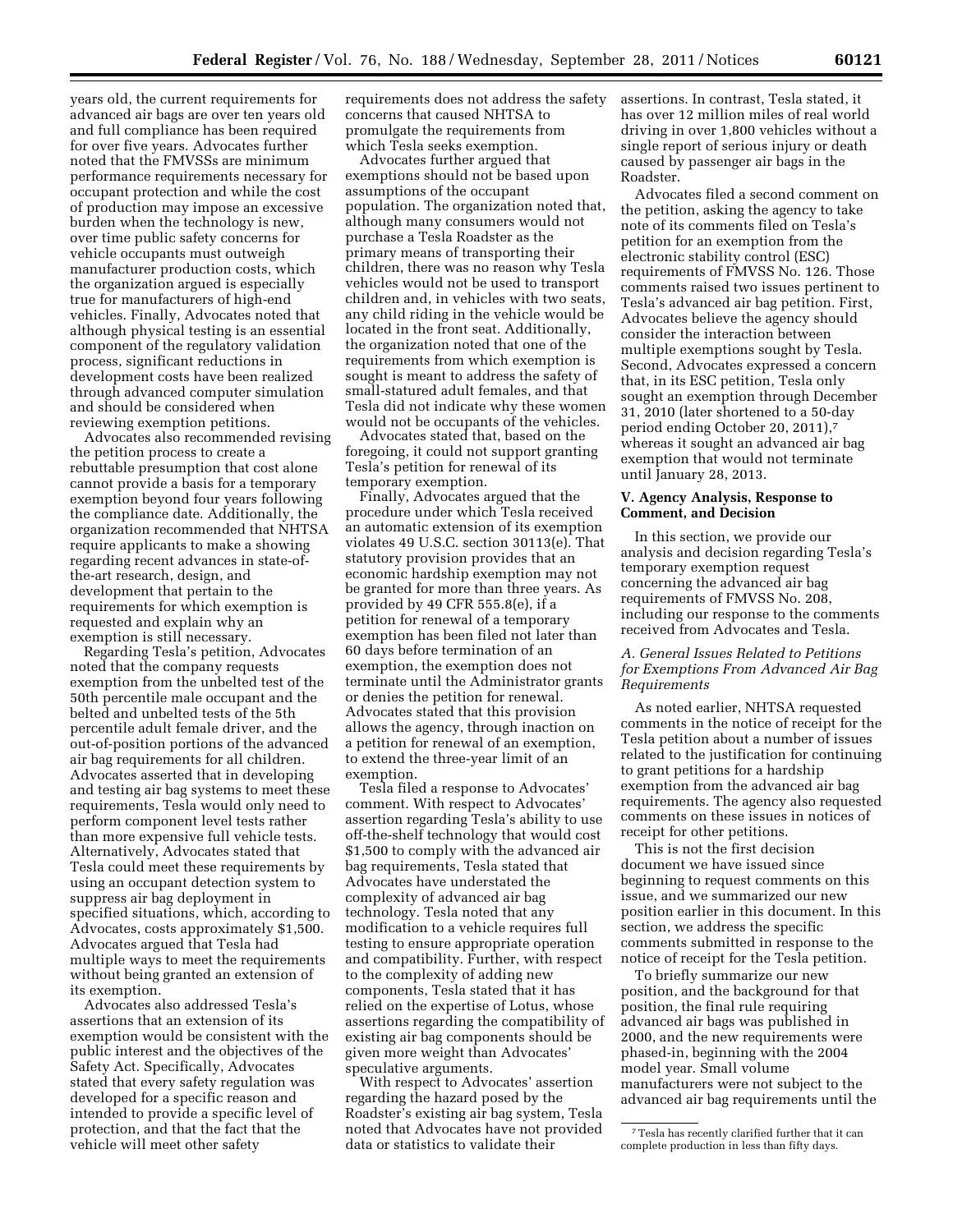years old, the current requirements for advanced air bags are over ten years old and full compliance has been required for over five years. Advocates further noted that the FMVSSs are minimum performance requirements necessary for occupant protection and while the cost of production may impose an excessive burden when the technology is new, over time public safety concerns for vehicle occupants must outweigh manufacturer production costs, which the organization argued is especially true for manufacturers of high-end vehicles. Finally, Advocates noted that although physical testing is an essential component of the regulatory validation process, significant reductions in development costs have been realized through advanced computer simulation and should be considered when reviewing exemption petitions.

Advocates also recommended revising the petition process to create a rebuttable presumption that cost alone cannot provide a basis for a temporary exemption beyond four years following the compliance date. Additionally, the organization recommended that NHTSA require applicants to make a showing regarding recent advances in state-ofthe-art research, design, and development that pertain to the requirements for which exemption is requested and explain why an exemption is still necessary.

Regarding Tesla's petition, Advocates noted that the company requests exemption from the unbelted test of the 50th percentile male occupant and the belted and unbelted tests of the 5th percentile adult female driver, and the out-of-position portions of the advanced air bag requirements for all children. Advocates asserted that in developing and testing air bag systems to meet these requirements, Tesla would only need to perform component level tests rather than more expensive full vehicle tests. Alternatively, Advocates stated that Tesla could meet these requirements by using an occupant detection system to suppress air bag deployment in specified situations, which, according to Advocates, costs approximately \$1,500. Advocates argued that Tesla had multiple ways to meet the requirements without being granted an extension of its exemption.

Advocates also addressed Tesla's assertions that an extension of its exemption would be consistent with the public interest and the objectives of the Safety Act. Specifically, Advocates stated that every safety regulation was developed for a specific reason and intended to provide a specific level of protection, and that the fact that the vehicle will meet other safety

requirements does not address the safety concerns that caused NHTSA to promulgate the requirements from which Tesla seeks exemption.

Advocates further argued that exemptions should not be based upon assumptions of the occupant population. The organization noted that, although many consumers would not purchase a Tesla Roadster as the primary means of transporting their children, there was no reason why Tesla vehicles would not be used to transport children and, in vehicles with two seats, any child riding in the vehicle would be located in the front seat. Additionally, the organization noted that one of the requirements from which exemption is sought is meant to address the safety of small-statured adult females, and that Tesla did not indicate why these women would not be occupants of the vehicles.

Advocates stated that, based on the foregoing, it could not support granting Tesla's petition for renewal of its temporary exemption.

Finally, Advocates argued that the procedure under which Tesla received an automatic extension of its exemption violates 49 U.S.C. section 30113(e). That statutory provision provides that an economic hardship exemption may not be granted for more than three years. As provided by 49 CFR 555.8(e), if a petition for renewal of a temporary exemption has been filed not later than 60 days before termination of an exemption, the exemption does not terminate until the Administrator grants or denies the petition for renewal. Advocates stated that this provision allows the agency, through inaction on a petition for renewal of an exemption, to extend the three-year limit of an exemption.

Tesla filed a response to Advocates' comment. With respect to Advocates' assertion regarding Tesla's ability to use off-the-shelf technology that would cost \$1,500 to comply with the advanced air bag requirements, Tesla stated that Advocates have understated the complexity of advanced air bag technology. Tesla noted that any modification to a vehicle requires full testing to ensure appropriate operation and compatibility. Further, with respect to the complexity of adding new components, Tesla stated that it has relied on the expertise of Lotus, whose assertions regarding the compatibility of existing air bag components should be given more weight than Advocates' speculative arguments.

With respect to Advocates' assertion regarding the hazard posed by the Roadster's existing air bag system, Tesla noted that Advocates have not provided data or statistics to validate their

assertions. In contrast, Tesla stated, it has over 12 million miles of real world driving in over 1,800 vehicles without a single report of serious injury or death caused by passenger air bags in the Roadster.

Advocates filed a second comment on the petition, asking the agency to take note of its comments filed on Tesla's petition for an exemption from the electronic stability control (ESC) requirements of FMVSS No. 126. Those comments raised two issues pertinent to Tesla's advanced air bag petition. First, Advocates believe the agency should consider the interaction between multiple exemptions sought by Tesla. Second, Advocates expressed a concern that, in its ESC petition, Tesla only sought an exemption through December 31, 2010 (later shortened to a 50-day period ending October 20, 2011),7 whereas it sought an advanced air bag exemption that would not terminate until January 28, 2013.

#### **V. Agency Analysis, Response to Comment, and Decision**

In this section, we provide our analysis and decision regarding Tesla's temporary exemption request concerning the advanced air bag requirements of FMVSS No. 208, including our response to the comments received from Advocates and Tesla.

## *A. General Issues Related to Petitions for Exemptions From Advanced Air Bag Requirements*

As noted earlier, NHTSA requested comments in the notice of receipt for the Tesla petition about a number of issues related to the justification for continuing to grant petitions for a hardship exemption from the advanced air bag requirements. The agency also requested comments on these issues in notices of receipt for other petitions.

This is not the first decision document we have issued since beginning to request comments on this issue, and we summarized our new position earlier in this document. In this section, we address the specific comments submitted in response to the notice of receipt for the Tesla petition.

To briefly summarize our new position, and the background for that position, the final rule requiring advanced air bags was published in 2000, and the new requirements were phased-in, beginning with the 2004 model year. Small volume manufacturers were not subject to the advanced air bag requirements until the

<sup>7</sup>Tesla has recently clarified further that it can complete production in less than fifty days.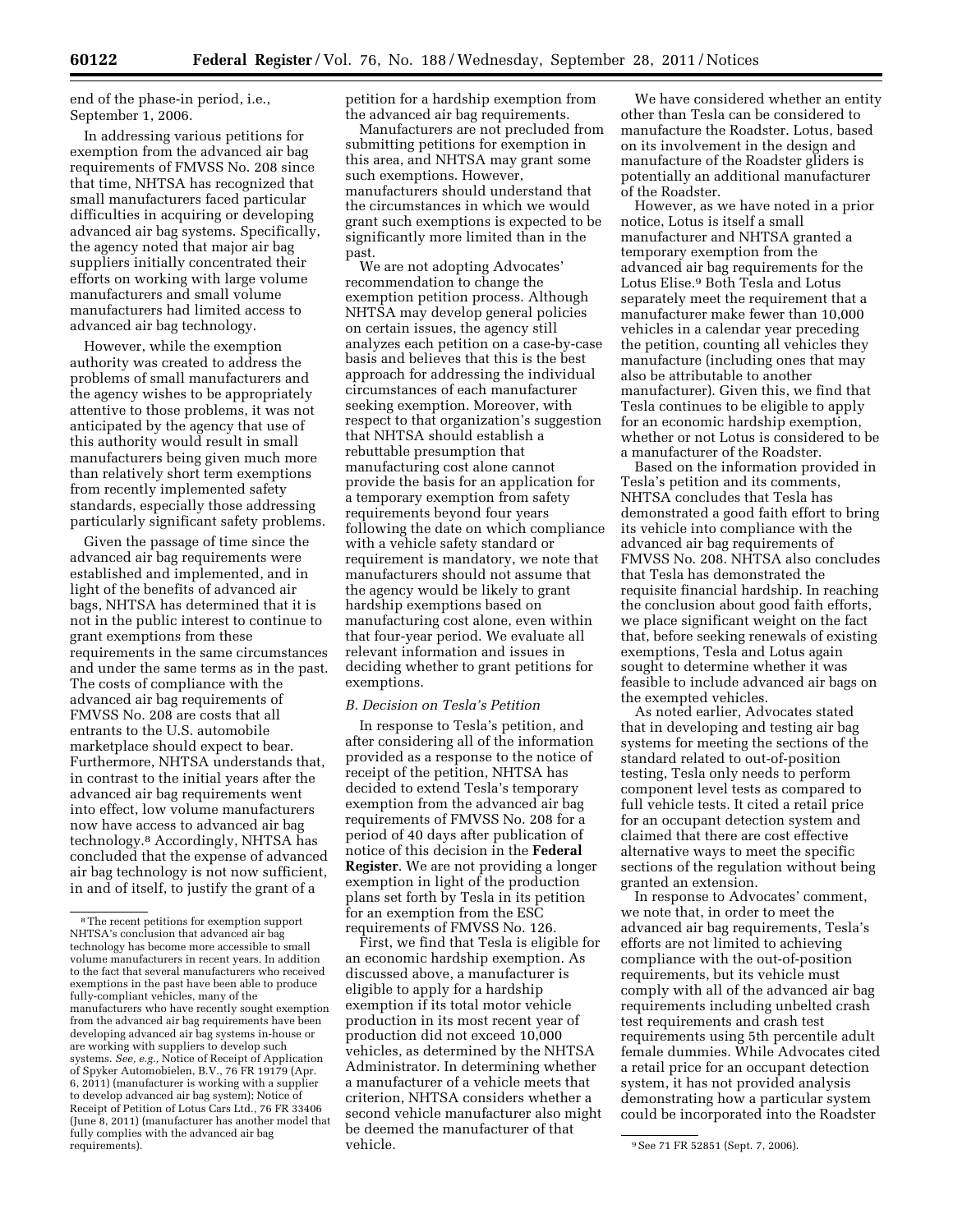end of the phase-in period, i.e., September 1, 2006.

In addressing various petitions for exemption from the advanced air bag requirements of FMVSS No. 208 since that time, NHTSA has recognized that small manufacturers faced particular difficulties in acquiring or developing advanced air bag systems. Specifically, the agency noted that major air bag suppliers initially concentrated their efforts on working with large volume manufacturers and small volume manufacturers had limited access to advanced air bag technology.

However, while the exemption authority was created to address the problems of small manufacturers and the agency wishes to be appropriately attentive to those problems, it was not anticipated by the agency that use of this authority would result in small manufacturers being given much more than relatively short term exemptions from recently implemented safety standards, especially those addressing particularly significant safety problems.

Given the passage of time since the advanced air bag requirements were established and implemented, and in light of the benefits of advanced air bags, NHTSA has determined that it is not in the public interest to continue to grant exemptions from these requirements in the same circumstances and under the same terms as in the past. The costs of compliance with the advanced air bag requirements of FMVSS No. 208 are costs that all entrants to the U.S. automobile marketplace should expect to bear. Furthermore, NHTSA understands that, in contrast to the initial years after the advanced air bag requirements went into effect, low volume manufacturers now have access to advanced air bag technology.8 Accordingly, NHTSA has concluded that the expense of advanced air bag technology is not now sufficient, in and of itself, to justify the grant of a

petition for a hardship exemption from the advanced air bag requirements.

Manufacturers are not precluded from submitting petitions for exemption in this area, and NHTSA may grant some such exemptions. However, manufacturers should understand that the circumstances in which we would grant such exemptions is expected to be significantly more limited than in the past.

We are not adopting Advocates' recommendation to change the exemption petition process. Although NHTSA may develop general policies on certain issues, the agency still analyzes each petition on a case-by-case basis and believes that this is the best approach for addressing the individual circumstances of each manufacturer seeking exemption. Moreover, with respect to that organization's suggestion that NHTSA should establish a rebuttable presumption that manufacturing cost alone cannot provide the basis for an application for a temporary exemption from safety requirements beyond four years following the date on which compliance with a vehicle safety standard or requirement is mandatory, we note that manufacturers should not assume that the agency would be likely to grant hardship exemptions based on manufacturing cost alone, even within that four-year period. We evaluate all relevant information and issues in deciding whether to grant petitions for exemptions.

#### *B. Decision on Tesla's Petition*

In response to Tesla's petition, and after considering all of the information provided as a response to the notice of receipt of the petition, NHTSA has decided to extend Tesla's temporary exemption from the advanced air bag requirements of FMVSS No. 208 for a period of 40 days after publication of notice of this decision in the **Federal Register**. We are not providing a longer exemption in light of the production plans set forth by Tesla in its petition for an exemption from the ESC requirements of FMVSS No. 126.

First, we find that Tesla is eligible for an economic hardship exemption. As discussed above, a manufacturer is eligible to apply for a hardship exemption if its total motor vehicle production in its most recent year of production did not exceed 10,000 vehicles, as determined by the NHTSA Administrator. In determining whether a manufacturer of a vehicle meets that criterion, NHTSA considers whether a second vehicle manufacturer also might be deemed the manufacturer of that vehicle.

We have considered whether an entity other than Tesla can be considered to manufacture the Roadster. Lotus, based on its involvement in the design and manufacture of the Roadster gliders is potentially an additional manufacturer of the Roadster.

However, as we have noted in a prior notice, Lotus is itself a small manufacturer and NHTSA granted a temporary exemption from the advanced air bag requirements for the Lotus Elise.9 Both Tesla and Lotus separately meet the requirement that a manufacturer make fewer than 10,000 vehicles in a calendar year preceding the petition, counting all vehicles they manufacture (including ones that may also be attributable to another manufacturer). Given this, we find that Tesla continues to be eligible to apply for an economic hardship exemption, whether or not Lotus is considered to be a manufacturer of the Roadster.

Based on the information provided in Tesla's petition and its comments, NHTSA concludes that Tesla has demonstrated a good faith effort to bring its vehicle into compliance with the advanced air bag requirements of FMVSS No. 208. NHTSA also concludes that Tesla has demonstrated the requisite financial hardship. In reaching the conclusion about good faith efforts, we place significant weight on the fact that, before seeking renewals of existing exemptions, Tesla and Lotus again sought to determine whether it was feasible to include advanced air bags on the exempted vehicles.

As noted earlier, Advocates stated that in developing and testing air bag systems for meeting the sections of the standard related to out-of-position testing, Tesla only needs to perform component level tests as compared to full vehicle tests. It cited a retail price for an occupant detection system and claimed that there are cost effective alternative ways to meet the specific sections of the regulation without being granted an extension.

In response to Advocates' comment, we note that, in order to meet the advanced air bag requirements, Tesla's efforts are not limited to achieving compliance with the out-of-position requirements, but its vehicle must comply with all of the advanced air bag requirements including unbelted crash test requirements and crash test requirements using 5th percentile adult female dummies. While Advocates cited a retail price for an occupant detection system, it has not provided analysis demonstrating how a particular system could be incorporated into the Roadster

<sup>8</sup>The recent petitions for exemption support NHTSA's conclusion that advanced air bag technology has become more accessible to small volume manufacturers in recent years. In addition to the fact that several manufacturers who received exemptions in the past have been able to produce fully-compliant vehicles, many of the manufacturers who have recently sought exemption from the advanced air bag requirements have been developing advanced air bag systems in-house or are working with suppliers to develop such systems. *See, e.g.,* Notice of Receipt of Application of Spyker Automobielen, B.V., 76 FR 19179 (Apr. 6, 2011) (manufacturer is working with a supplier to develop advanced air bag system); Notice of Receipt of Petition of Lotus Cars Ltd., 76 FR 33406 (June 8, 2011) (manufacturer has another model that fully complies with the advanced air bag<br>requirements).

<sup>&</sup>lt;sup>9</sup> See 71 FR 52851 (Sept. 7, 2006).